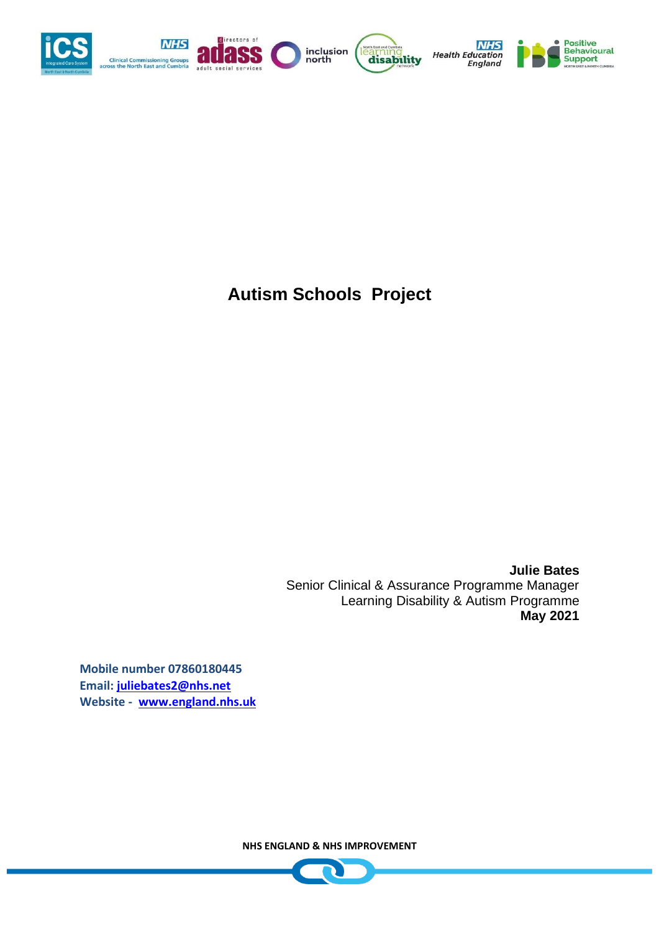

**Autism Schools Project**

**Julie Bates**  Senior Clinical & Assurance Programme Manager Learning Disability & Autism Programme **May 2021**

**Mobile number 07860180445 Email: [juliebates2@nhs.net](mailto:juliebates2@nhs.net) Website - [www.england.nhs.uk](http://www.england.nhs.uk/)**

**NHS ENGLAND & NHS IMPROVEMENT**

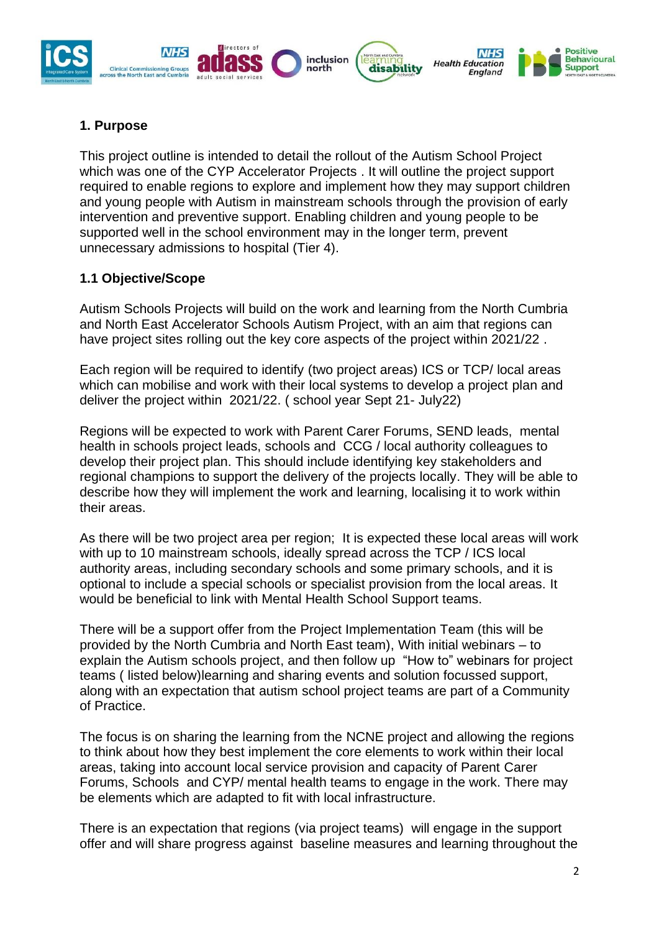

### **1. Purpose**

This project outline is intended to detail the rollout of the Autism School Project which was one of the CYP Accelerator Projects . It will outline the project support required to enable regions to explore and implement how they may support children and young people with Autism in mainstream schools through the provision of early intervention and preventive support. Enabling children and young people to be supported well in the school environment may in the longer term, prevent unnecessary admissions to hospital (Tier 4).

#### **1.1 Objective/Scope**

Autism Schools Projects will build on the work and learning from the North Cumbria and North East Accelerator Schools Autism Project, with an aim that regions can have project sites rolling out the key core aspects of the project within 2021/22 .

Each region will be required to identify (two project areas) ICS or TCP/ local areas which can mobilise and work with their local systems to develop a project plan and deliver the project within 2021/22. ( school year Sept 21- July22)

Regions will be expected to work with Parent Carer Forums, SEND leads, mental health in schools project leads, schools and CCG / local authority colleagues to develop their project plan. This should include identifying key stakeholders and regional champions to support the delivery of the projects locally. They will be able to describe how they will implement the work and learning, localising it to work within their areas.

As there will be two project area per region; It is expected these local areas will work with up to 10 mainstream schools, ideally spread across the TCP / ICS local authority areas, including secondary schools and some primary schools, and it is optional to include a special schools or specialist provision from the local areas. It would be beneficial to link with Mental Health School Support teams.

There will be a support offer from the Project Implementation Team (this will be provided by the North Cumbria and North East team), With initial webinars – to explain the Autism schools project, and then follow up "How to" webinars for project teams ( listed below)learning and sharing events and solution focussed support, along with an expectation that autism school project teams are part of a Community of Practice.

The focus is on sharing the learning from the NCNE project and allowing the regions to think about how they best implement the core elements to work within their local areas, taking into account local service provision and capacity of Parent Carer Forums, Schools and CYP/ mental health teams to engage in the work. There may be elements which are adapted to fit with local infrastructure.

There is an expectation that regions (via project teams) will engage in the support offer and will share progress against baseline measures and learning throughout the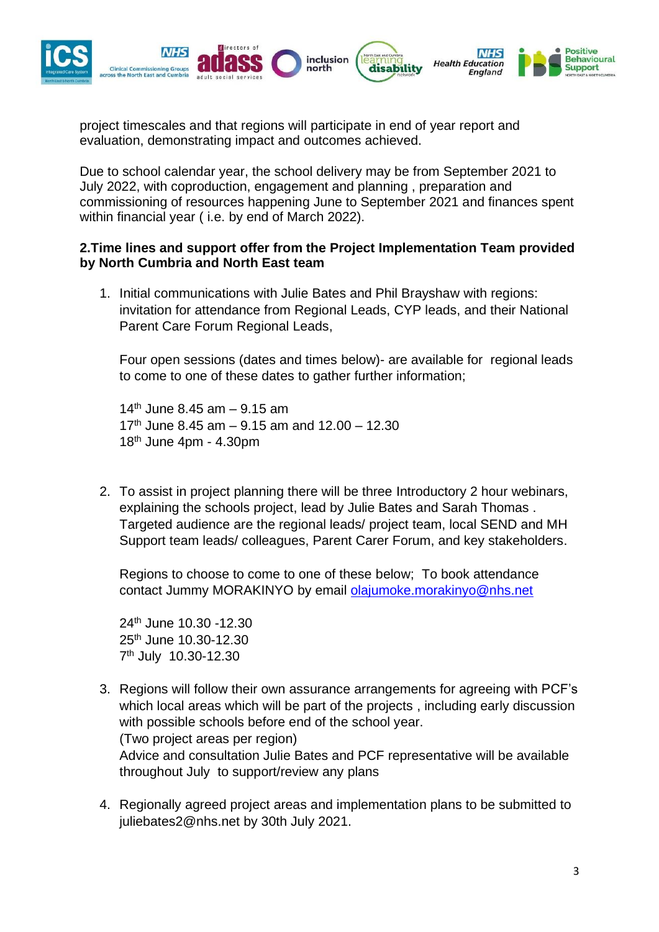

project timescales and that regions will participate in end of year report and evaluation, demonstrating impact and outcomes achieved.

Due to school calendar year, the school delivery may be from September 2021 to July 2022, with coproduction, engagement and planning , preparation and commissioning of resources happening June to September 2021 and finances spent within financial year ( i.e. by end of March 2022).

#### **2.Time lines and support offer from the Project Implementation Team provided by North Cumbria and North East team**

1. Initial communications with Julie Bates and Phil Brayshaw with regions: invitation for attendance from Regional Leads, CYP leads, and their National Parent Care Forum Regional Leads,

Four open sessions (dates and times below)- are available for regional leads to come to one of these dates to gather further information;

14<sup>th</sup> June 8.45 am  $-$  9.15 am  $17<sup>th</sup>$  June 8.45 am – 9.15 am and 12.00 – 12.30  $18<sup>th</sup>$  June 4pm - 4.30pm

2. To assist in project planning there will be three Introductory 2 hour webinars, explaining the schools project, lead by Julie Bates and Sarah Thomas . Targeted audience are the regional leads/ project team, local SEND and MH Support team leads/ colleagues, Parent Carer Forum, and key stakeholders.

Regions to choose to come to one of these below; To book attendance contact Jummy MORAKINYO by email [olajumoke.morakinyo@nhs.net](mailto:olajumoke.morakinyo@nhs.net)

24th June 10.30 -12.30 25th June 10.30-12.30 7 th July 10.30-12.30

- 3. Regions will follow their own assurance arrangements for agreeing with PCF's which local areas which will be part of the projects , including early discussion with possible schools before end of the school year. (Two project areas per region) Advice and consultation Julie Bates and PCF representative will be available throughout July to support/review any plans
- 4. Regionally agreed project areas and implementation plans to be submitted to juliebates2@nhs.net by 30th July 2021.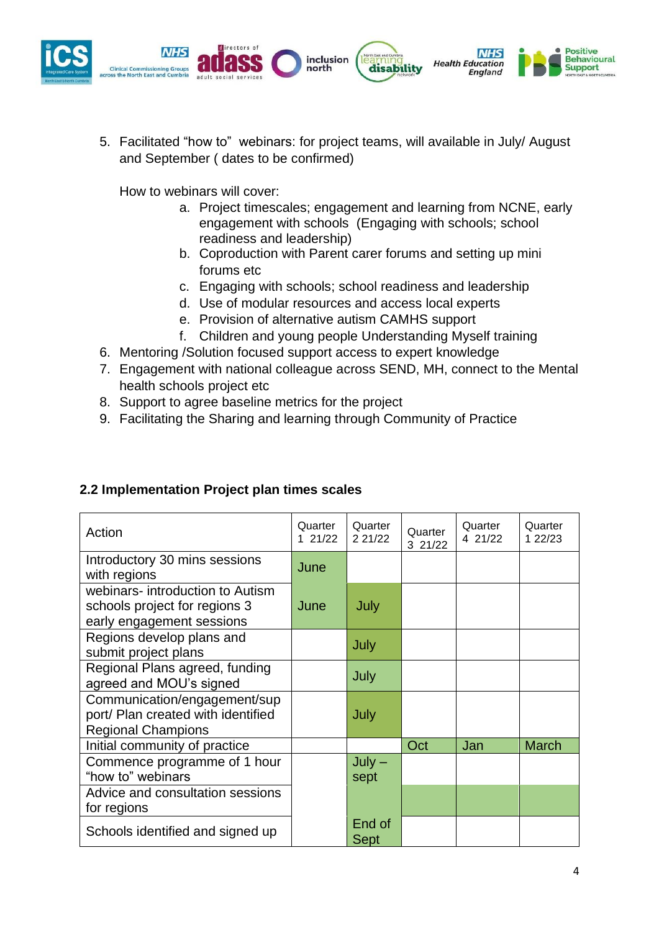

5. Facilitated "how to" webinars: for project teams, will available in July/ August and September ( dates to be confirmed)

How to webinars will cover:

- a. Project timescales; engagement and learning from NCNE, early engagement with schools (Engaging with schools; school readiness and leadership)
- b. Coproduction with Parent carer forums and setting up mini forums etc
- c. Engaging with schools; school readiness and leadership
- d. Use of modular resources and access local experts
- e. Provision of alternative autism CAMHS support
- f. Children and young people Understanding Myself training
- 6. Mentoring /Solution focused support access to expert knowledge
- 7. Engagement with national colleague across SEND, MH, connect to the Mental health schools project etc
- 8. Support to agree baseline metrics for the project
- 9. Facilitating the Sharing and learning through Community of Practice

### **2.2 Implementation Project plan times scales**

| Action                                                                                          | Quarter<br>1 21/22 | Quarter<br>2 21/22    | Quarter<br>3 21/22 | Quarter<br>4 21/22 | Quarter<br>1 22/23 |
|-------------------------------------------------------------------------------------------------|--------------------|-----------------------|--------------------|--------------------|--------------------|
| Introductory 30 mins sessions<br>with regions                                                   | June               |                       |                    |                    |                    |
| webinars- introduction to Autism<br>schools project for regions 3<br>early engagement sessions  | June               | July                  |                    |                    |                    |
| Regions develop plans and<br>submit project plans                                               |                    | July                  |                    |                    |                    |
| Regional Plans agreed, funding<br>agreed and MOU's signed                                       |                    | July                  |                    |                    |                    |
| Communication/engagement/sup<br>port/ Plan created with identified<br><b>Regional Champions</b> |                    | July                  |                    |                    |                    |
| Initial community of practice                                                                   |                    |                       | Oct                | Jan                | <b>March</b>       |
| Commence programme of 1 hour<br>"how to" webinars                                               |                    | $July -$<br>sept      |                    |                    |                    |
| Advice and consultation sessions<br>for regions                                                 |                    |                       |                    |                    |                    |
| Schools identified and signed up                                                                |                    | End of<br><b>Sept</b> |                    |                    |                    |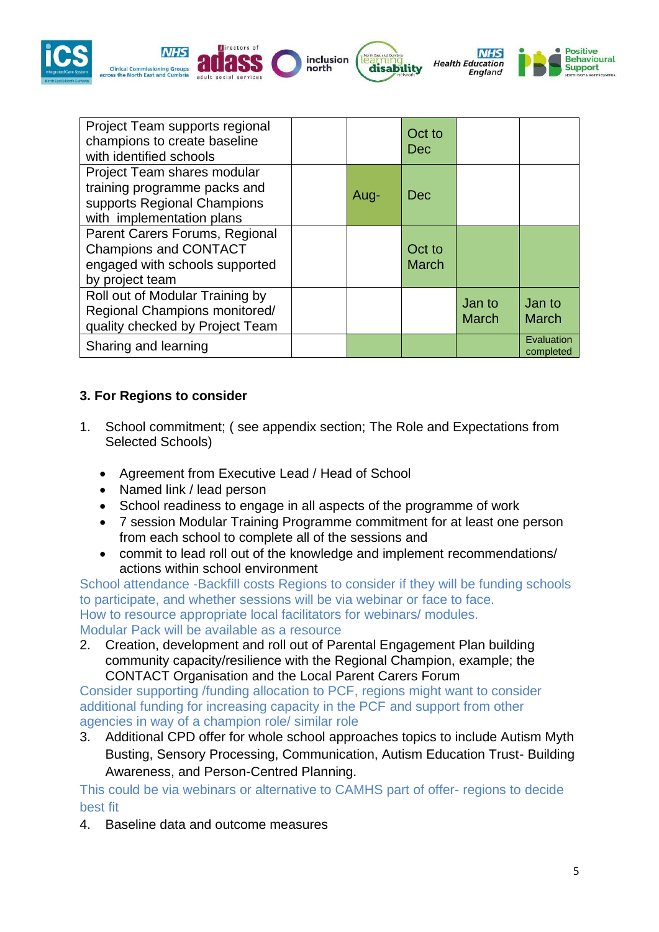

| Project Team supports regional<br>champions to create baseline<br>with identified schools                               |      | Oct to<br>Dec          |                        |                         |
|-------------------------------------------------------------------------------------------------------------------------|------|------------------------|------------------------|-------------------------|
| Project Team shares modular<br>training programme packs and<br>supports Regional Champions<br>with implementation plans | Aug- | Dec                    |                        |                         |
| Parent Carers Forums, Regional<br><b>Champions and CONTACT</b><br>engaged with schools supported<br>by project team     |      | Oct to<br><b>March</b> |                        |                         |
| Roll out of Modular Training by<br>Regional Champions monitored/<br>quality checked by Project Team                     |      |                        | Jan to<br><b>March</b> | Jan to<br><b>March</b>  |
| Sharing and learning                                                                                                    |      |                        |                        | Evaluation<br>completed |

### **3. For Regions to consider**

- 1. School commitment; ( see appendix section; The Role and Expectations from Selected Schools)
	- Agreement from Executive Lead / Head of School
	- Named link / lead person
	- School readiness to engage in all aspects of the programme of work
	- 7 session Modular Training Programme commitment for at least one person from each school to complete all of the sessions and
	- commit to lead roll out of the knowledge and implement recommendations/ actions within school environment

School attendance -Backfill costs Regions to consider if they will be funding schools to participate, and whether sessions will be via webinar or face to face. How to resource appropriate local facilitators for webinars/ modules. Modular Pack will be available as a resource

2. Creation, development and roll out of Parental Engagement Plan building community capacity/resilience with the Regional Champion, example; the CONTACT Organisation and the Local Parent Carers Forum

Consider supporting /funding allocation to PCF, regions might want to consider additional funding for increasing capacity in the PCF and support from other agencies in way of a champion role/ similar role

3. Additional CPD offer for whole school approaches topics to include Autism Myth Busting, Sensory Processing, Communication, Autism Education Trust- Building Awareness, and Person-Centred Planning.

This could be via webinars or alternative to CAMHS part of offer- regions to decide best fit

4. Baseline data and outcome measures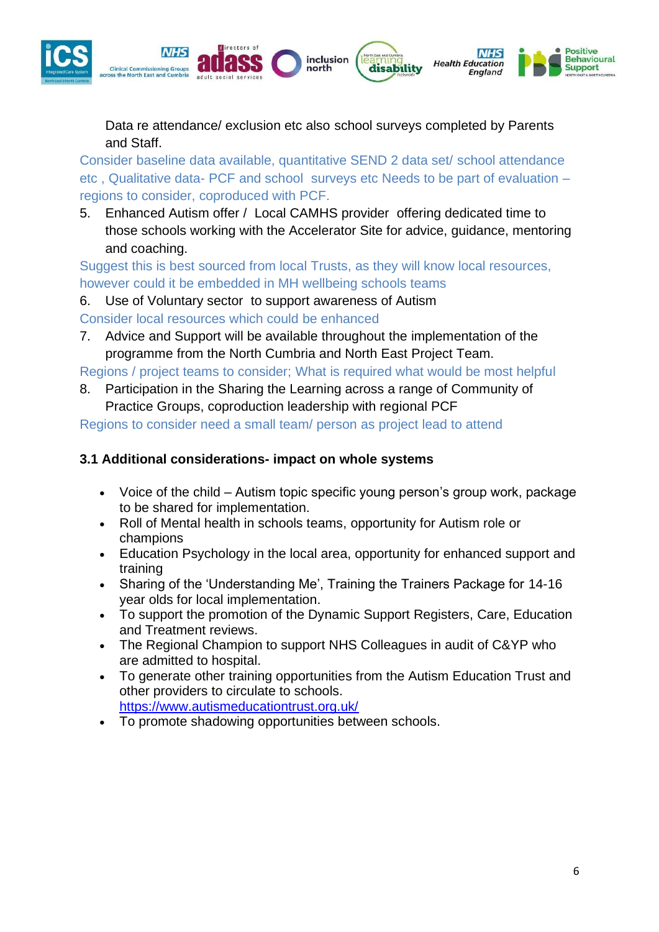

Data re attendance/ exclusion etc also school surveys completed by Parents and Staff.

Consider baseline data available, quantitative SEND 2 data set/ school attendance etc , Qualitative data- PCF and school surveys etc Needs to be part of evaluation – regions to consider, coproduced with PCF.

5. Enhanced Autism offer / Local CAMHS provider offering dedicated time to those schools working with the Accelerator Site for advice, guidance, mentoring and coaching.

Suggest this is best sourced from local Trusts, as they will know local resources, however could it be embedded in MH wellbeing schools teams

6. Use of Voluntary sector to support awareness of Autism Consider local resources which could be enhanced

7. Advice and Support will be available throughout the implementation of the programme from the North Cumbria and North East Project Team.

Regions / project teams to consider; What is required what would be most helpful

8. Participation in the Sharing the Learning across a range of Community of Practice Groups, coproduction leadership with regional PCF

Regions to consider need a small team/ person as project lead to attend

# **3.1 Additional considerations- impact on whole systems**

- Voice of the child Autism topic specific young person's group work, package to be shared for implementation.
- Roll of Mental health in schools teams, opportunity for Autism role or champions
- Education Psychology in the local area, opportunity for enhanced support and training
- Sharing of the 'Understanding Me', Training the Trainers Package for 14-16 year olds for local implementation.
- To support the promotion of the Dynamic Support Registers, Care, Education and Treatment reviews.
- The Regional Champion to support NHS Colleagues in audit of C&YP who are admitted to hospital.
- To generate other training opportunities from the Autism Education Trust and other providers to circulate to schools. <https://www.autismeducationtrust.org.uk/>
- To promote shadowing opportunities between schools.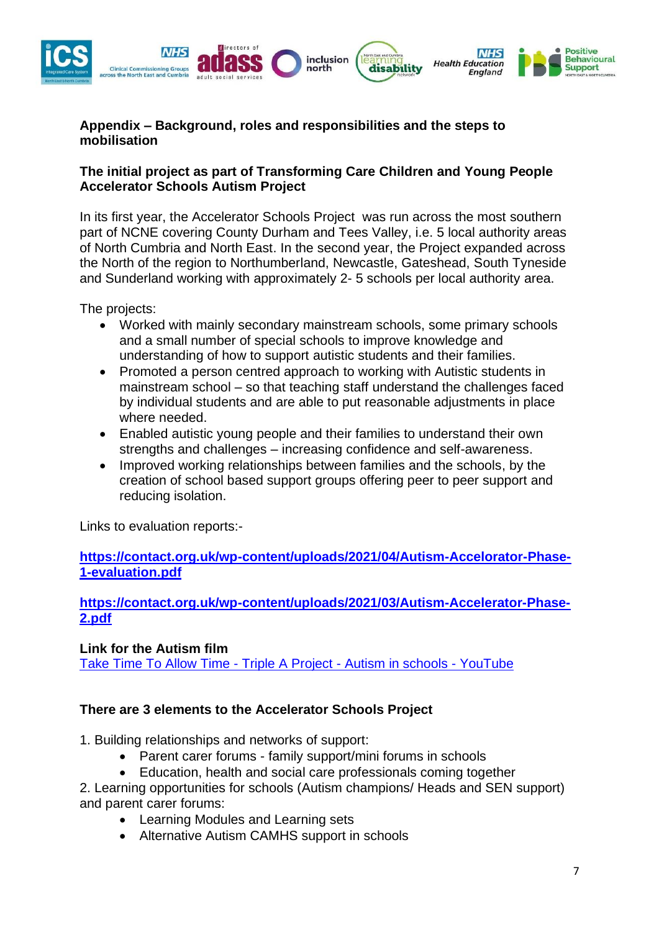

### **Appendix – Background, roles and responsibilities and the steps to mobilisation**

#### **The initial project as part of Transforming Care Children and Young People Accelerator Schools Autism Project**

In its first year, the Accelerator Schools Project was run across the most southern part of NCNE covering County Durham and Tees Valley, i.e. 5 local authority areas of North Cumbria and North East. In the second year, the Project expanded across the North of the region to Northumberland, Newcastle, Gateshead, South Tyneside and Sunderland working with approximately 2- 5 schools per local authority area.

The projects:

- Worked with mainly secondary mainstream schools, some primary schools and a small number of special schools to improve knowledge and understanding of how to support autistic students and their families.
- Promoted a person centred approach to working with Autistic students in mainstream school – so that teaching staff understand the challenges faced by individual students and are able to put reasonable adjustments in place where needed.
- Enabled autistic young people and their families to understand their own strengths and challenges – increasing confidence and self-awareness.
- Improved working relationships between families and the schools, by the creation of school based support groups offering peer to peer support and reducing isolation.

Links to evaluation reports:-

**[https://contact.org.uk/wp-content/uploads/2021/04/Autism-Accelorator-Phase-](https://contact.org.uk/wp-content/uploads/2021/04/Autism-Accelorator-Phase-1-evaluation.pdf)[1-evaluation.pdf](https://contact.org.uk/wp-content/uploads/2021/04/Autism-Accelorator-Phase-1-evaluation.pdf)**

**[https://contact.org.uk/wp-content/uploads/2021/03/Autism-Accelerator-Phase-](https://contact.org.uk/wp-content/uploads/2021/03/Autism-Accelerator-Phase-2.pdf)[2.pdf](https://contact.org.uk/wp-content/uploads/2021/03/Autism-Accelerator-Phase-2.pdf)**

#### **Link for the Autism film**

[Take Time To Allow Time -](https://www.youtube.com/watch?v=YKnmIEMxkhs) Triple A Project - Autism in schools - YouTube

#### **There are 3 elements to the Accelerator Schools Project**

1. Building relationships and networks of support:

- Parent carer forums family support/mini forums in schools
- Education, health and social care professionals coming together

2. Learning opportunities for schools (Autism champions/ Heads and SEN support) and parent carer forums:

- Learning Modules and Learning sets
- Alternative Autism CAMHS support in schools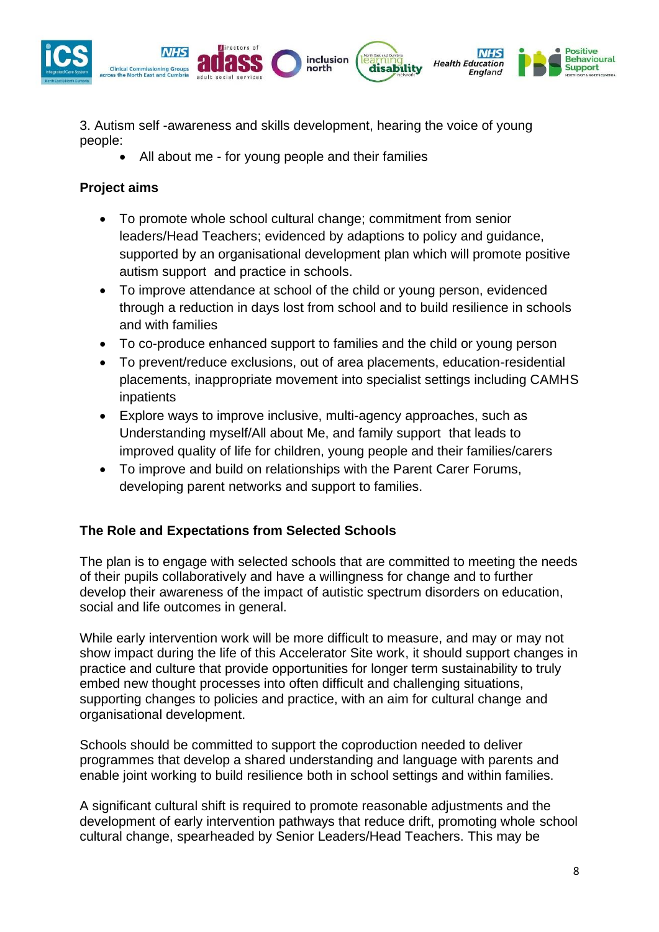

3. Autism self -awareness and skills development, hearing the voice of young people:

• All about me - for young people and their families

# **Project aims**

- To promote whole school cultural change; commitment from senior leaders/Head Teachers; evidenced by adaptions to policy and guidance, supported by an organisational development plan which will promote positive autism support and practice in schools.
- To improve attendance at school of the child or young person, evidenced through a reduction in days lost from school and to build resilience in schools and with families
- To co-produce enhanced support to families and the child or young person
- To prevent/reduce exclusions, out of area placements, education-residential placements, inappropriate movement into specialist settings including CAMHS inpatients
- Explore ways to improve inclusive, multi-agency approaches, such as Understanding myself/All about Me, and family support that leads to improved quality of life for children, young people and their families/carers
- To improve and build on relationships with the Parent Carer Forums, developing parent networks and support to families.

### **The Role and Expectations from Selected Schools**

The plan is to engage with selected schools that are committed to meeting the needs of their pupils collaboratively and have a willingness for change and to further develop their awareness of the impact of autistic spectrum disorders on education, social and life outcomes in general.

While early intervention work will be more difficult to measure, and may or may not show impact during the life of this Accelerator Site work, it should support changes in practice and culture that provide opportunities for longer term sustainability to truly embed new thought processes into often difficult and challenging situations, supporting changes to policies and practice, with an aim for cultural change and organisational development.

Schools should be committed to support the coproduction needed to deliver programmes that develop a shared understanding and language with parents and enable joint working to build resilience both in school settings and within families.

A significant cultural shift is required to promote reasonable adjustments and the development of early intervention pathways that reduce drift, promoting whole school cultural change, spearheaded by Senior Leaders/Head Teachers. This may be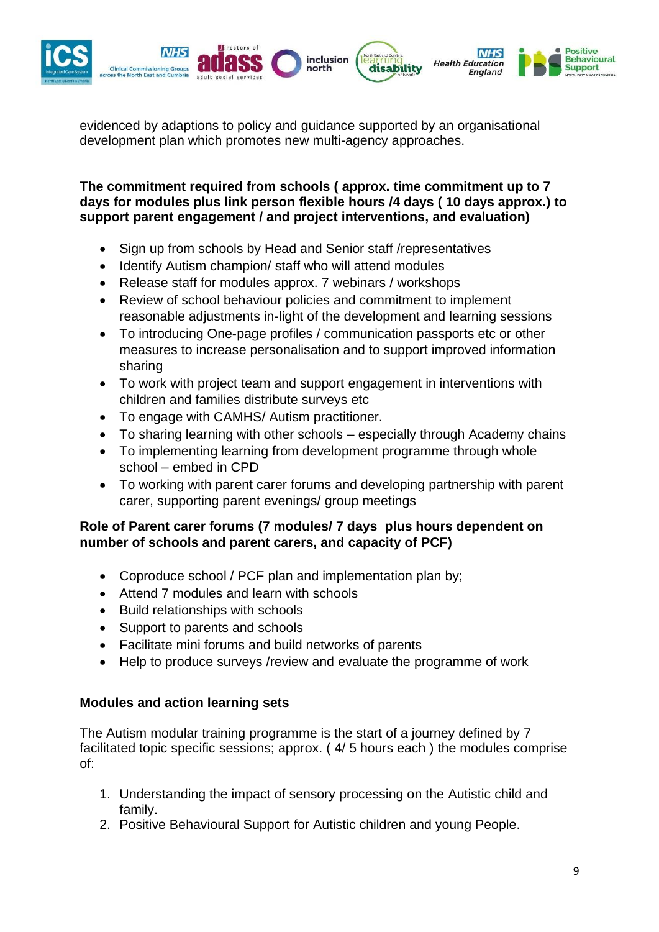

evidenced by adaptions to policy and guidance supported by an organisational development plan which promotes new multi-agency approaches.

**The commitment required from schools ( approx. time commitment up to 7 days for modules plus link person flexible hours /4 days ( 10 days approx.) to support parent engagement / and project interventions, and evaluation)**

- Sign up from schools by Head and Senior staff /representatives
- Identify Autism champion/ staff who will attend modules
- Release staff for modules approx. 7 webinars / workshops
- Review of school behaviour policies and commitment to implement reasonable adjustments in-light of the development and learning sessions
- To introducing One-page profiles / communication passports etc or other measures to increase personalisation and to support improved information sharing
- To work with project team and support engagement in interventions with children and families distribute surveys etc
- To engage with CAMHS/ Autism practitioner.
- To sharing learning with other schools especially through Academy chains
- To implementing learning from development programme through whole school – embed in CPD
- To working with parent carer forums and developing partnership with parent carer, supporting parent evenings/ group meetings

### **Role of Parent carer forums (7 modules/ 7 days plus hours dependent on number of schools and parent carers, and capacity of PCF)**

- Coproduce school / PCF plan and implementation plan by;
- Attend 7 modules and learn with schools
- Build relationships with schools
- Support to parents and schools
- Facilitate mini forums and build networks of parents
- Help to produce surveys /review and evaluate the programme of work

#### **Modules and action learning sets**

The Autism modular training programme is the start of a journey defined by 7 facilitated topic specific sessions; approx. ( 4/ 5 hours each ) the modules comprise of:

- 1. Understanding the impact of sensory processing on the Autistic child and family.
- 2. Positive Behavioural Support for Autistic children and young People.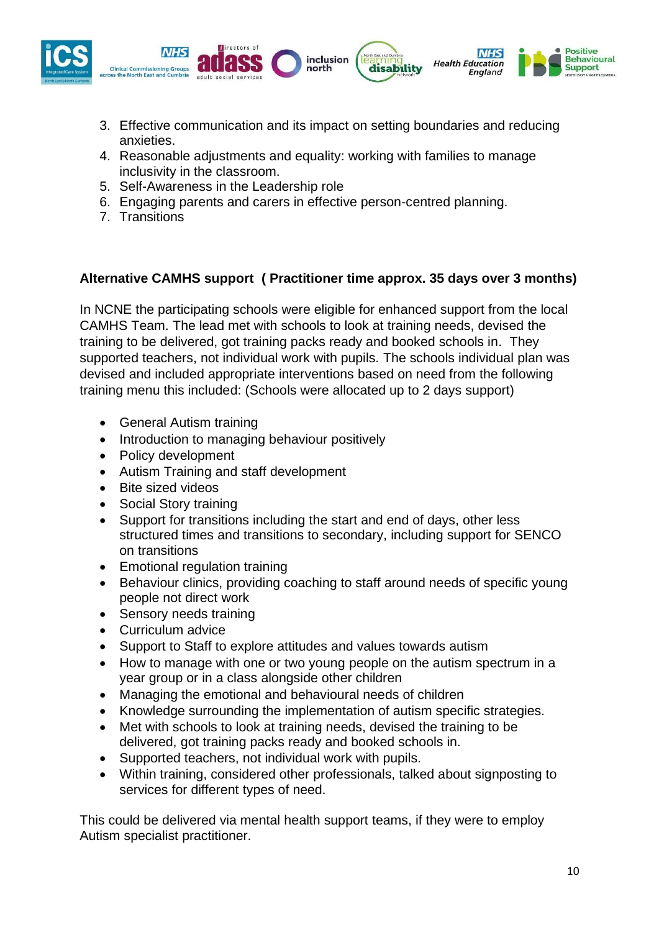

- 3. Effective communication and its impact on setting boundaries and reducing anxieties.
- 4. Reasonable adjustments and equality: working with families to manage inclusivity in the classroom.
- 5. Self-Awareness in the Leadership role
- 6. Engaging parents and carers in effective person-centred planning.
- 7. Transitions

### **Alternative CAMHS support ( Practitioner time approx. 35 days over 3 months)**

In NCNE the participating schools were eligible for enhanced support from the local CAMHS Team. The lead met with schools to look at training needs, devised the training to be delivered, got training packs ready and booked schools in. They supported teachers, not individual work with pupils. The schools individual plan was devised and included appropriate interventions based on need from the following training menu this included: (Schools were allocated up to 2 days support)

- General Autism training
- Introduction to managing behaviour positively
- Policy development
- Autism Training and staff development
- Bite sized videos
- Social Story training
- Support for transitions including the start and end of days, other less structured times and transitions to secondary, including support for SENCO on transitions
- Emotional regulation training
- Behaviour clinics, providing coaching to staff around needs of specific young people not direct work
- Sensory needs training
- Curriculum advice
- Support to Staff to explore attitudes and values towards autism
- How to manage with one or two young people on the autism spectrum in a year group or in a class alongside other children
- Managing the emotional and behavioural needs of children
- Knowledge surrounding the implementation of autism specific strategies.
- Met with schools to look at training needs, devised the training to be delivered, got training packs ready and booked schools in.
- Supported teachers, not individual work with pupils.
- Within training, considered other professionals, talked about signposting to services for different types of need.

This could be delivered via mental health support teams, if they were to employ Autism specialist practitioner.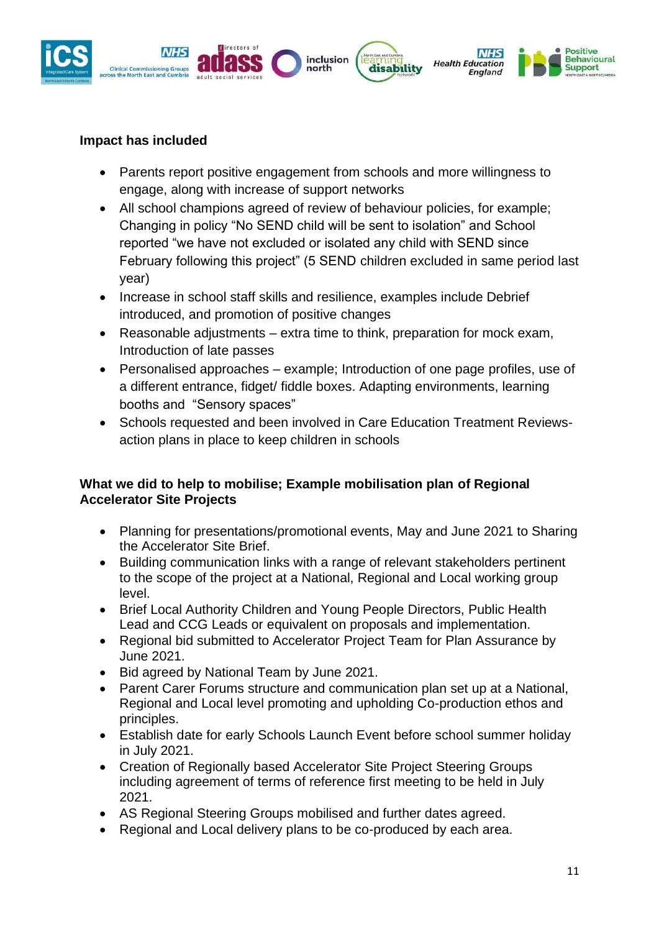

# **Impact has included**

- Parents report positive engagement from schools and more willingness to engage, along with increase of support networks
- All school champions agreed of review of behaviour policies, for example; Changing in policy "No SEND child will be sent to isolation" and School reported "we have not excluded or isolated any child with SEND since February following this project" (5 SEND children excluded in same period last year)
- Increase in school staff skills and resilience, examples include Debrief introduced, and promotion of positive changes
- Reasonable adjustments extra time to think, preparation for mock exam, Introduction of late passes
- Personalised approaches example; Introduction of one page profiles, use of a different entrance, fidget/ fiddle boxes. Adapting environments, learning booths and "Sensory spaces"
- Schools requested and been involved in Care Education Treatment Reviewsaction plans in place to keep children in schools

### **What we did to help to mobilise; Example mobilisation plan of Regional Accelerator Site Projects**

- Planning for presentations/promotional events, May and June 2021 to Sharing the Accelerator Site Brief.
- Building communication links with a range of relevant stakeholders pertinent to the scope of the project at a National, Regional and Local working group level.
- Brief Local Authority Children and Young People Directors, Public Health Lead and CCG Leads or equivalent on proposals and implementation.
- Regional bid submitted to Accelerator Project Team for Plan Assurance by June 2021.
- Bid agreed by National Team by June 2021.
- Parent Carer Forums structure and communication plan set up at a National, Regional and Local level promoting and upholding Co-production ethos and principles.
- Establish date for early Schools Launch Event before school summer holiday in July 2021.
- Creation of Regionally based Accelerator Site Project Steering Groups including agreement of terms of reference first meeting to be held in July 2021.
- AS Regional Steering Groups mobilised and further dates agreed.
- Regional and Local delivery plans to be co-produced by each area.